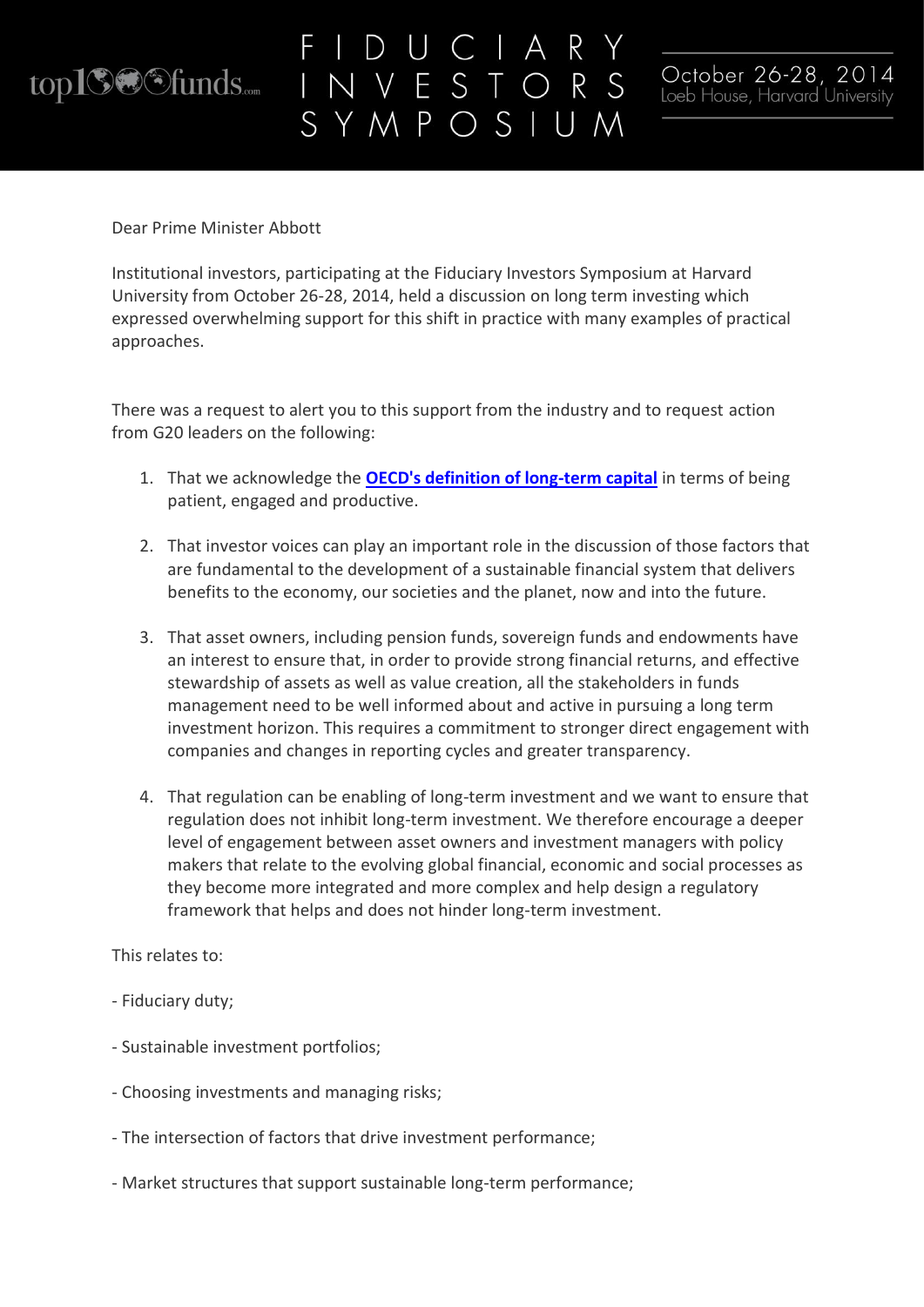

## VESTORS SYMPOSIUM



Dear Prime Minister Abbott

Institutional investors, participating at the Fiduciary Investors Symposium at Harvard University from October 26-28, 2014, held a discussion on long term investing which expressed overwhelming support for this shift in practice with many examples of practical approaches.

There was a request to alert you to this support from the industry and to request action from G20 leaders on the following:

- 1. That we acknowledge the **[OECD's definition of long-term capital](http://www.oecd.org/pensions/private-pensions/49714860.pdf)** in terms of being patient, engaged and productive.
- 2. That investor voices can play an important role in the discussion of those factors that are fundamental to the development of a sustainable financial system that delivers benefits to the economy, our societies and the planet, now and into the future.
- 3. That asset owners, including pension funds, sovereign funds and endowments have an interest to ensure that, in order to provide strong financial returns, and effective stewardship of assets as well as value creation, all the stakeholders in funds management need to be well informed about and active in pursuing a long term investment horizon. This requires a commitment to stronger direct engagement with companies and changes in reporting cycles and greater transparency.
- 4. That regulation can be enabling of long-term investment and we want to ensure that regulation does not inhibit long-term investment. We therefore encourage a deeper level of engagement between asset owners and investment managers with policy makers that relate to the evolving global financial, economic and social processes as they become more integrated and more complex and help design a regulatory framework that helps and does not hinder long-term investment.

This relates to:

- Fiduciary duty;
- Sustainable investment portfolios;
- Choosing investments and managing risks;
- The intersection of factors that drive investment performance;
- Market structures that support sustainable long-term performance;